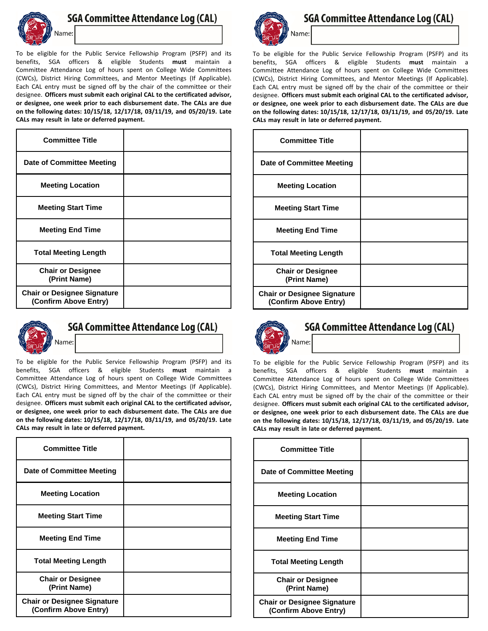

## **SGA Committee Attendance Log (CAL)**

To be eligible for the Public Service Fellowship Program (PSFP) and its benefits, SGA officers & eligible Students **must** maintain a Committee Attendance Log of hours spent on College Wide Committees (CWCs), District Hiring Committees, and Mentor Meetings (If Applicable). Each CAL entry must be signed off by the chair of the committee or their designee. **Officers must submit each original CAL to the certificated advisor, or designee, one week prior to each disbursement date. The CALs are due on the following dates: 10/15/18, 12/17/18, 03/11/19, and 05/20/19. Late CALs may result in late or deferred payment.** 

| <b>Committee Title</b>                                      |  |
|-------------------------------------------------------------|--|
| Date of Committee Meeting                                   |  |
| <b>Meeting Location</b>                                     |  |
| <b>Meeting Start Time</b>                                   |  |
| <b>Meeting End Time</b>                                     |  |
| <b>Total Meeting Length</b>                                 |  |
| <b>Chair or Designee</b><br>(Print Name)                    |  |
| <b>Chair or Designee Signature</b><br>(Confirm Above Entry) |  |



## **SGA Committee Attendance Log (CAL)**

To be eligible for the Public Service Fellowship Program (PSFP) and its benefits, SGA officers & eligible Students **must** maintain a Committee Attendance Log of hours spent on College Wide Committees (CWCs), District Hiring Committees, and Mentor Meetings (If Applicable). Each CAL entry must be signed off by the chair of the committee or their designee. **Officers must submit each original CAL to the certificated advisor, or designee, one week prior to each disbursement date. The CALs are due on the following dates: 10/15/18, 12/17/18, 03/11/19, and 05/20/19. Late CALs may result in late or deferred payment.** 

| <b>Committee Title</b>                                      |  |
|-------------------------------------------------------------|--|
| <b>Date of Committee Meeting</b>                            |  |
| <b>Meeting Location</b>                                     |  |
| <b>Meeting Start Time</b>                                   |  |
| <b>Meeting End Time</b>                                     |  |
| <b>Total Meeting Length</b>                                 |  |
| <b>Chair or Designee</b><br>(Print Name)                    |  |
| <b>Chair or Designee Signature</b><br>(Confirm Above Entry) |  |



**SGA Committee Attendance Log (CAL)** 

To be eligible for the Public Service Fellowship Program (PSFP) and its benefits, SGA officers & eligible Students **must** maintain a Committee Attendance Log of hours spent on College Wide Committees (CWCs), District Hiring Committees, and Mentor Meetings (If Applicable). Each CAL entry must be signed off by the chair of the committee or their designee. **Officers must submit each original CAL to the certificated advisor, or designee, one week prior to each disbursement date. The CALs are due on the following dates: 10/15/18, 12/17/18, 03/11/19, and 05/20/19. Late CALs may result in late or deferred payment.** 

| <b>Committee Title</b>                                      |  |
|-------------------------------------------------------------|--|
| Date of Committee Meeting                                   |  |
| <b>Meeting Location</b>                                     |  |
| <b>Meeting Start Time</b>                                   |  |
| <b>Meeting End Time</b>                                     |  |
| <b>Total Meeting Length</b>                                 |  |
| <b>Chair or Designee</b><br>(Print Name)                    |  |
| <b>Chair or Designee Signature</b><br>(Confirm Above Entry) |  |



## **SGA Committee Attendance Log (CAL)**

To be eligible for the Public Service Fellowship Program (PSFP) and its benefits, SGA officers & eligible Students **must** maintain a Committee Attendance Log of hours spent on College Wide Committees (CWCs), District Hiring Committees, and Mentor Meetings (If Applicable). Each CAL entry must be signed off by the chair of the committee or their designee. **Officers must submit each original CAL to the certificated advisor, or designee, one week prior to each disbursement date. The CALs are due on the following dates: 10/15/18, 12/17/18, 03/11/19, and 05/20/19. Late CALs may result in late or deferred payment.** 

| <b>Committee Title</b>                                      |  |
|-------------------------------------------------------------|--|
| <b>Date of Committee Meeting</b>                            |  |
| <b>Meeting Location</b>                                     |  |
| <b>Meeting Start Time</b>                                   |  |
| <b>Meeting End Time</b>                                     |  |
| <b>Total Meeting Length</b>                                 |  |
| <b>Chair or Designee</b><br>(Print Name)                    |  |
| <b>Chair or Designee Signature</b><br>(Confirm Above Entry) |  |